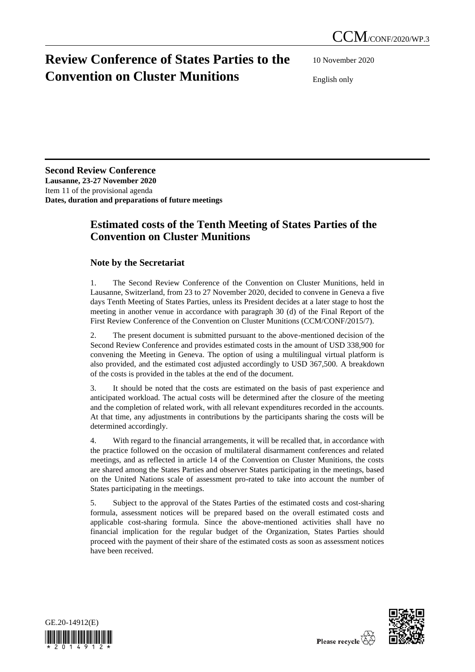## **Review Conference of States Parties to the Convention on Cluster Munitions**

10 November 2020

English only

**Second Review Conference Lausanne, 23-27 November 2020** Item 11 of the provisional agenda **Dates, duration and preparations of future meetings**

## **Estimated costs of the Tenth Meeting of States Parties of the Convention on Cluster Munitions**

## **Note by the Secretariat**

1. The Second Review Conference of the Convention on Cluster Munitions, held in Lausanne, Switzerland, from 23 to 27 November 2020, decided to convene in Geneva a five days Tenth Meeting of States Parties, unless its President decides at a later stage to host the meeting in another venue in accordance with paragraph 30 (d) of the Final Report of the First Review Conference of the Convention on Cluster Munitions (CCM/CONF/2015/7).

2. The present document is submitted pursuant to the above-mentioned decision of the Second Review Conference and provides estimated costs in the amount of USD 338,900 for convening the Meeting in Geneva. The option of using a multilingual virtual platform is also provided, and the estimated cost adjusted accordingly to USD 367,500. A breakdown of the costs is provided in the tables at the end of the document.

3. It should be noted that the costs are estimated on the basis of past experience and anticipated workload. The actual costs will be determined after the closure of the meeting and the completion of related work, with all relevant expenditures recorded in the accounts. At that time, any adjustments in contributions by the participants sharing the costs will be determined accordingly.

4. With regard to the financial arrangements, it will be recalled that, in accordance with the practice followed on the occasion of multilateral disarmament conferences and related meetings, and as reflected in article 14 of the Convention on Cluster Munitions, the costs are shared among the States Parties and observer States participating in the meetings, based on the United Nations scale of assessment pro-rated to take into account the number of States participating in the meetings.

5. Subject to the approval of the States Parties of the estimated costs and cost-sharing formula, assessment notices will be prepared based on the overall estimated costs and applicable cost-sharing formula. Since the above-mentioned activities shall have no financial implication for the regular budget of the Organization, States Parties should proceed with the payment of their share of the estimated costs as soon as assessment notices have been received.



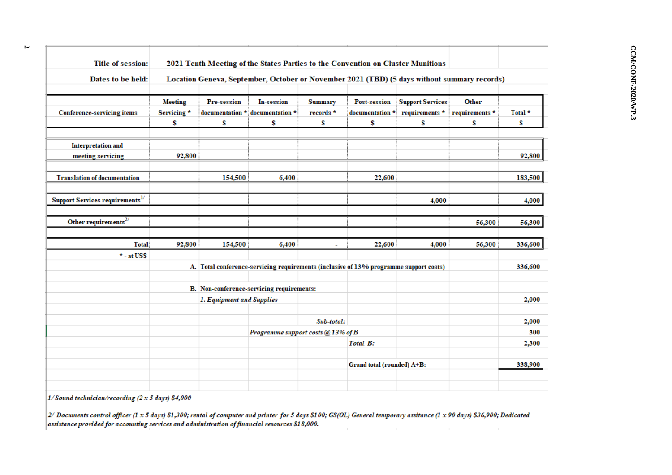| Dates to be held:                                  | 2021 Tenth Meeting of the States Parties to the Convention on Cluster Munitions<br>Location Geneva, September, October or November 2021 (TBD) (5 days without summary records) |                                           |                                                                                       |                                    |                                              |                                                 |                               |                          |
|----------------------------------------------------|--------------------------------------------------------------------------------------------------------------------------------------------------------------------------------|-------------------------------------------|---------------------------------------------------------------------------------------|------------------------------------|----------------------------------------------|-------------------------------------------------|-------------------------------|--------------------------|
| <b>Conference-servicing items</b>                  | <b>Meeting</b><br>Servicing*<br>\$                                                                                                                                             | Pre-session<br>documentation *<br>\$      | In-session<br>documentation *<br>\$                                                   | <b>Summary</b><br>records $*$<br>S | <b>Post-session</b><br>documentation *<br>\$ | <b>Support Services</b><br>requirements *<br>\$ | Other<br>requirements *<br>\$ | Total <sup>*</sup><br>\$ |
| <b>Interpretation and</b>                          |                                                                                                                                                                                |                                           |                                                                                       |                                    |                                              |                                                 |                               |                          |
| meeting servicing                                  | 92,800                                                                                                                                                                         |                                           |                                                                                       |                                    |                                              |                                                 |                               | 92,800                   |
| <b>Translation of documentation</b>                |                                                                                                                                                                                | 154,500                                   | 6,400                                                                                 |                                    | 22,600                                       |                                                 |                               | 183,500                  |
| Support Services requirements $^{1/}$              |                                                                                                                                                                                |                                           |                                                                                       |                                    |                                              | 4,000                                           |                               | 4,000                    |
| Other requirements $^{2/}$                         |                                                                                                                                                                                |                                           |                                                                                       |                                    |                                              |                                                 | 56,300                        | 56,300                   |
| <b>Total</b>                                       | 92,800                                                                                                                                                                         | 154,500                                   | 6,400                                                                                 | ä,                                 | 22,600                                       | 4,000                                           | 56,300                        | 336,600                  |
| $*$ - at US\$                                      |                                                                                                                                                                                |                                           |                                                                                       |                                    |                                              |                                                 |                               |                          |
|                                                    |                                                                                                                                                                                |                                           | A. Total conference-servicing requirements (inclusive of 13% programme support costs) |                                    |                                              |                                                 |                               | 336,600                  |
|                                                    |                                                                                                                                                                                | B. Non-conference-servicing requirements: |                                                                                       |                                    |                                              |                                                 |                               |                          |
|                                                    |                                                                                                                                                                                | 1. Equipment and Supplies                 |                                                                                       |                                    |                                              |                                                 |                               | 2,000                    |
|                                                    |                                                                                                                                                                                |                                           |                                                                                       | Sub-total:                         |                                              |                                                 |                               | 2,000                    |
|                                                    |                                                                                                                                                                                |                                           | Programme support costs @ 13% of B                                                    |                                    |                                              |                                                 |                               | 300                      |
|                                                    |                                                                                                                                                                                |                                           |                                                                                       |                                    | Total B:                                     |                                                 |                               | 2,300                    |
|                                                    |                                                                                                                                                                                |                                           |                                                                                       |                                    | Grand total (rounded) A+B:                   |                                                 |                               | 338,900                  |
| $1/Sound technician/recording (2 x 5 days) $4,000$ |                                                                                                                                                                                |                                           |                                                                                       |                                    |                                              |                                                 |                               |                          |

2/ Documents control officer (1 x 5 days)  $s1$ , 500; rental of computer and printer for 5 days  $s10$ <br>assistance provided for accounting services and administration of financial resources \$18,000.

**2**